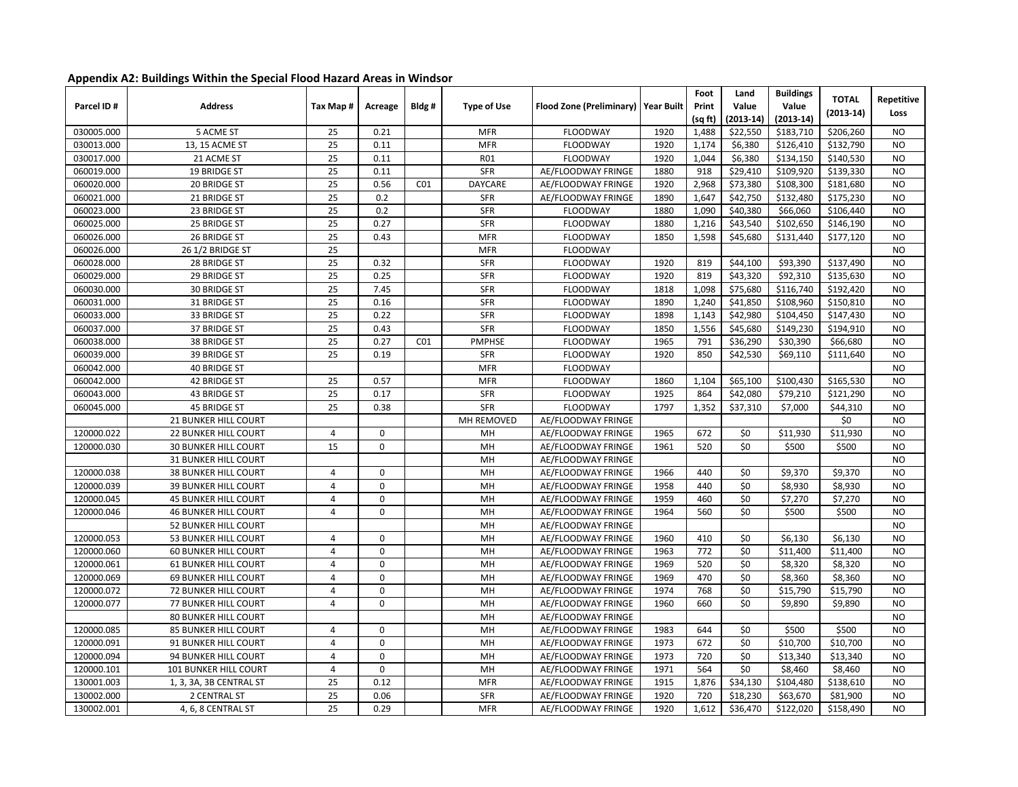|  | Appendix A2: Buildings Within the Special Flood Hazard Areas in Windsor |  |  |  |
|--|-------------------------------------------------------------------------|--|--|--|
|--|-------------------------------------------------------------------------|--|--|--|

| Parcel ID# | <b>Address</b>              | Tax Map #      | Acreage      | Bldg#           | <b>Type of Use</b> | <b>Flood Zone (Preliminary)</b> | <b>Year Built</b> | Foot<br>Print<br>(sq ft) | Land<br>Value<br>(2013-14) | <b>Buildings</b><br>Value<br>$(2013-14)$ | <b>TOTAL</b><br>$(2013-14)$ | Repetitive<br>Loss |
|------------|-----------------------------|----------------|--------------|-----------------|--------------------|---------------------------------|-------------------|--------------------------|----------------------------|------------------------------------------|-----------------------------|--------------------|
| 030005.000 | 5 ACME ST                   | 25             | 0.21         |                 | <b>MFR</b>         | FLOODWAY                        | 1920              | 1,488                    | \$22,550                   | \$183,710                                | \$206,260                   | <b>NO</b>          |
| 030013.000 | 13, 15 ACME ST              | 25             | 0.11         |                 | <b>MFR</b>         | <b>FLOODWAY</b>                 | 1920              | 1,174                    | \$6,380                    | \$126,410                                | \$132,790                   | <b>NO</b>          |
| 030017.000 | 21 ACME ST                  | 25             | 0.11         |                 | <b>R01</b>         | FLOODWAY                        | 1920              | 1,044                    | \$6,380                    | \$134,150                                | \$140,530                   | <b>NO</b>          |
| 060019.000 | 19 BRIDGE ST                | 25             | 0.11         |                 | SFR                | AE/FLOODWAY FRINGE              | 1880              | 918                      | \$29,410                   | \$109,920                                | \$139,330                   | <b>NO</b>          |
| 060020.000 | 20 BRIDGE ST                | 25             | 0.56         | CO <sub>1</sub> | <b>DAYCARE</b>     | AE/FLOODWAY FRINGE              | 1920              | 2,968                    | \$73,380                   | \$108,300                                | \$181,680                   | <b>NO</b>          |
| 060021.000 | 21 BRIDGE ST                | 25             | 0.2          |                 | <b>SFR</b>         | AE/FLOODWAY FRINGE              | 1890              | 1,647                    | \$42,750                   | \$132,480                                | \$175,230                   | <b>NO</b>          |
| 060023.000 | 23 BRIDGE ST                | 25             | 0.2          |                 | <b>SFR</b>         | <b>FLOODWAY</b>                 | 1880              | 1,090                    | \$40,380                   | \$66,060                                 | \$106,440                   | <b>NO</b>          |
| 060025.000 | 25 BRIDGE ST                | 25             | 0.27         |                 | <b>SFR</b>         | FLOODWAY                        | 1880              | 1,216                    | \$43,540                   | \$102,650                                | \$146,190                   | <b>NO</b>          |
| 060026.000 | 26 BRIDGE ST                | 25             | 0.43         |                 | <b>MFR</b>         | FLOODWAY                        | 1850              | 1,598                    | \$45,680                   | \$131,440                                | \$177,120                   | <b>NO</b>          |
| 060026.000 | 26 1/2 BRIDGE ST            | 25             |              |                 | <b>MFR</b>         | FLOODWAY                        |                   |                          |                            |                                          |                             | <b>NO</b>          |
| 060028.000 | 28 BRIDGE ST                | 25             | 0.32         |                 | <b>SFR</b>         | <b>FLOODWAY</b>                 | 1920              | 819                      | \$44,100                   | \$93,390                                 | \$137,490                   | <b>NO</b>          |
| 060029.000 | 29 BRIDGE ST                | 25             | 0.25         |                 | SFR                | <b>FLOODWAY</b>                 | 1920              | 819                      | \$43,320                   | \$92,310                                 | \$135,630                   | <b>NO</b>          |
| 060030.000 | 30 BRIDGE ST                | 25             | 7.45         |                 | <b>SFR</b>         | <b>FLOODWAY</b>                 | 1818              | 1,098                    | \$75,680                   | \$116,740                                | \$192,420                   | <b>NO</b>          |
| 060031.000 | 31 BRIDGE ST                | 25             | 0.16         |                 | SFR                | <b>FLOODWAY</b>                 | 1890              | 1,240                    | \$41,850                   | \$108,960                                | \$150,810                   | <b>NO</b>          |
| 060033.000 | 33 BRIDGE ST                | 25             | 0.22         |                 | SFR                | <b>FLOODWAY</b>                 | 1898              | 1,143                    | \$42,980                   | \$104,450                                | \$147,430                   | <b>NO</b>          |
| 060037.000 | 37 BRIDGE ST                | 25             | 0.43         |                 | SFR                | <b>FLOODWAY</b>                 | 1850              | 1,556                    | \$45,680                   | \$149,230                                | \$194,910                   | <b>NO</b>          |
| 060038.000 | 38 BRIDGE ST                | 25             | 0.27         | CO <sub>1</sub> | <b>PMPHSE</b>      | <b>FLOODWAY</b>                 | 1965              | 791                      | $\overline{$}36,290$       | \$30,390                                 | \$66,680                    | <b>NO</b>          |
| 060039.000 | 39 BRIDGE ST                | 25             | 0.19         |                 | SFR                | <b>FLOODWAY</b>                 | 1920              | 850                      | \$42,530                   | \$69,110                                 | \$111,640                   | <b>NO</b>          |
| 060042.000 | 40 BRIDGE ST                |                |              |                 | <b>MFR</b>         | <b>FLOODWAY</b>                 |                   |                          |                            |                                          |                             | <b>NO</b>          |
| 060042.000 | 42 BRIDGE ST                | 25             | 0.57         |                 | <b>MFR</b>         | FLOODWAY                        | 1860              | 1,104                    | \$65,100                   | \$100,430                                | \$165,530                   | <b>NO</b>          |
| 060043.000 | 43 BRIDGE ST                | 25             | 0.17         |                 | <b>SFR</b>         | <b>FLOODWAY</b>                 | 1925              | 864                      | \$42,080                   | \$79,210                                 | \$121,290                   | <b>NO</b>          |
| 060045.000 | <b>45 BRIDGE ST</b>         | 25             | 0.38         |                 | <b>SFR</b>         | FLOODWAY                        | 1797              | 1,352                    | \$37,310                   | \$7,000                                  | \$44,310                    | <b>NO</b>          |
|            | 21 BUNKER HILL COURT        |                |              |                 | MH REMOVED         | AE/FLOODWAY FRINGE              |                   |                          |                            |                                          | \$0                         | <b>NO</b>          |
| 120000.022 | 22 BUNKER HILL COURT        | 4              | 0            |                 | MH                 | AE/FLOODWAY FRINGE              | 1965              | 672                      | \$0                        | \$11,930                                 | \$11,930                    | <b>NO</b>          |
| 120000.030 | <b>30 BUNKER HILL COURT</b> | 15             | $\mathbf 0$  |                 | MH                 | AE/FLOODWAY FRINGE              | 1961              | 520                      | \$0                        | \$500                                    | \$500                       | <b>NO</b>          |
|            | <b>31 BUNKER HILL COURT</b> |                |              |                 | MH                 | AE/FLOODWAY FRINGE              |                   |                          |                            |                                          |                             | <b>NO</b>          |
| 120000.038 | <b>38 BUNKER HILL COURT</b> | 4              | $\pmb{0}$    |                 | MH                 | AE/FLOODWAY FRINGE              | 1966              | 440                      | \$0                        | \$9,370                                  | \$9,370                     | <b>NO</b>          |
| 120000.039 | <b>39 BUNKER HILL COURT</b> | $\overline{4}$ | $\pmb{0}$    |                 | MH                 | AE/FLOODWAY FRINGE              | 1958              | 440                      | \$0                        | \$8,930                                  | \$8,930                     | <b>NO</b>          |
| 120000.045 | <b>45 BUNKER HILL COURT</b> | $\overline{4}$ | $\pmb{0}$    |                 | MH                 | AE/FLOODWAY FRINGE              | 1959              | 460                      | \$0                        | \$7,270                                  | \$7,270                     | <b>NO</b>          |
| 120000.046 | <b>46 BUNKER HILL COURT</b> | $\overline{4}$ | $\mathbf 0$  |                 | MH                 | AE/FLOODWAY FRINGE              | 1964              | 560                      | \$0                        | \$500                                    | \$500                       | <b>NO</b>          |
|            | <b>52 BUNKER HILL COURT</b> |                |              |                 | MH                 | AE/FLOODWAY FRINGE              |                   |                          |                            |                                          |                             | <b>NO</b>          |
| 120000.053 | <b>53 BUNKER HILL COURT</b> | 4              | $\mathbf{0}$ |                 | MH                 | AE/FLOODWAY FRINGE              | 1960              | 410                      | \$0                        | \$6,130                                  | \$6,130                     | <b>NO</b>          |
| 120000.060 | <b>60 BUNKER HILL COURT</b> | 4              | $\mathbf 0$  |                 | MH                 | AE/FLOODWAY FRINGE              | 1963              | 772                      | \$0                        | \$11,400                                 | \$11,400                    | <b>NO</b>          |
| 120000.061 | <b>61 BUNKER HILL COURT</b> | 4              | $\Omega$     |                 | MH                 | AE/FLOODWAY FRINGE              | 1969              | 520                      | \$0                        | \$8,320                                  | \$8,320                     | N <sub>O</sub>     |
| 120000.069 | <b>69 BUNKER HILL COURT</b> | 4              | $\Omega$     |                 | MH                 | AE/FLOODWAY FRINGE              | 1969              | 470                      | \$0                        | \$8,360                                  | \$8,360                     | <b>NO</b>          |
| 120000.072 | <b>72 BUNKER HILL COURT</b> | 4              | $\pmb{0}$    |                 | MH                 | AE/FLOODWAY FRINGE              | 1974              | 768                      | \$0                        | \$15,790                                 | \$15,790                    | <b>NO</b>          |
| 120000.077 | 77 BUNKER HILL COURT        | $\overline{4}$ | $\mathbf 0$  |                 | MH                 | AE/FLOODWAY FRINGE              | 1960              | 660                      | \$0                        | \$9,890                                  | \$9,890                     | <b>NO</b>          |
|            | <b>80 BUNKER HILL COURT</b> |                |              |                 | MH                 | AE/FLOODWAY FRINGE              |                   |                          |                            |                                          |                             | <b>NO</b>          |
| 120000.085 | <b>85 BUNKER HILL COURT</b> | 4              | $\mathbf 0$  |                 | MH                 | AE/FLOODWAY FRINGE              | 1983              | 644                      | \$0                        | \$500                                    | \$500                       | <b>NO</b>          |
| 120000.091 | 91 BUNKER HILL COURT        | $\overline{4}$ | $\mathbf 0$  |                 | MH                 | AE/FLOODWAY FRINGE              | 1973              | 672                      | \$0                        | \$10,700                                 | \$10,700                    | <b>NO</b>          |
| 120000.094 | 94 BUNKER HILL COURT        | $\overline{4}$ | $\mathbf 0$  |                 | MH                 | AE/FLOODWAY FRINGE              | 1973              | 720                      | \$0                        | \$13,340                                 | \$13,340                    | <b>NO</b>          |
|            |                             | $\overline{4}$ | $\Omega$     |                 | MH                 | AE/FLOODWAY FRINGE              | 1971              | 564                      | \$0                        | \$8,460                                  | \$8,460                     | <b>NO</b>          |
| 120000.101 | 101 BUNKER HILL COURT       |                |              |                 |                    |                                 |                   |                          |                            |                                          |                             |                    |
| 130001.003 | 1, 3, 3A, 3B CENTRAL ST     | 25             | 0.12         |                 | <b>MFR</b>         | AE/FLOODWAY FRINGE              | 1915              | 1,876                    | \$34,130                   | \$104,480                                | \$138,610                   | N <sub>O</sub>     |
| 130002.000 | 2 CENTRAL ST                | 25             | 0.06         |                 | <b>SFR</b>         | AE/FLOODWAY FRINGE              | 1920              | 720                      | \$18,230                   | \$63,670                                 | \$81,900                    | N <sub>O</sub>     |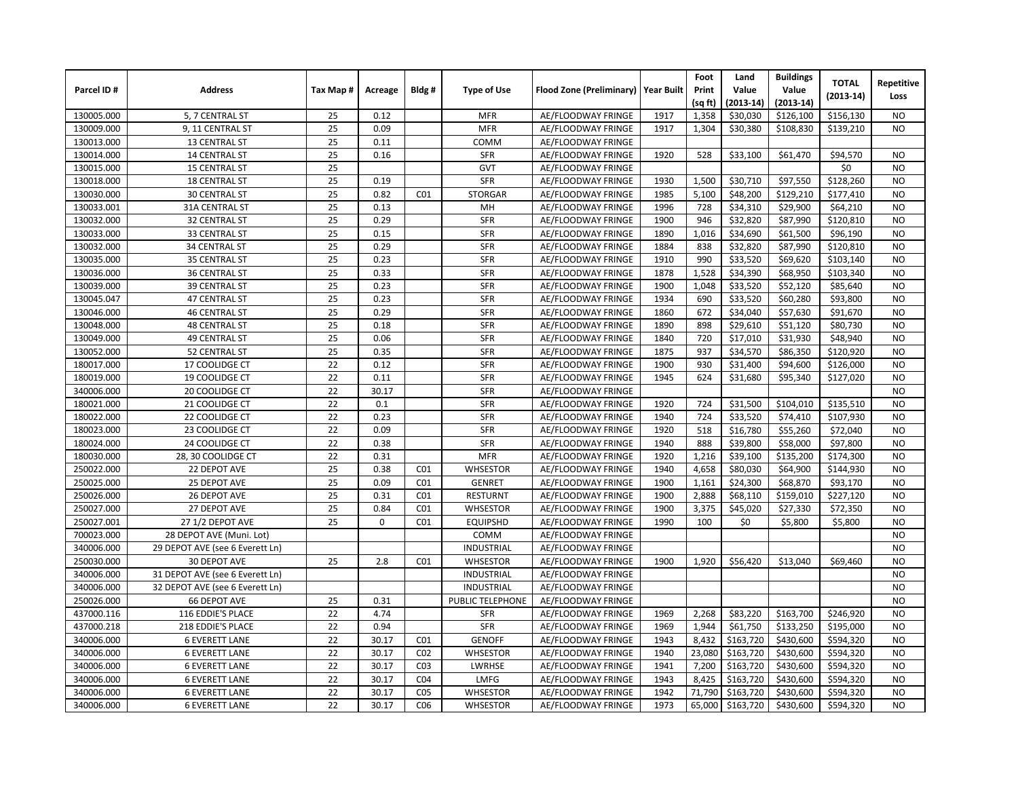|            |                                 |          |             |                 |                    |                                       |      | Foot    | Land        | <b>Buildings</b> | <b>TOTAL</b> | Repetitive     |
|------------|---------------------------------|----------|-------------|-----------------|--------------------|---------------------------------------|------|---------|-------------|------------------|--------------|----------------|
| Parcel ID# | <b>Address</b>                  | Tax Map# | Acreage     | Bldg#           | <b>Type of Use</b> | Flood Zone (Preliminary)   Year Built |      | Print   | Value       | Value            | $(2013-14)$  | Loss           |
|            |                                 |          |             |                 |                    |                                       |      | (sq ft) | $(2013-14)$ | $(2013-14)$      |              |                |
| 130005.000 | 5, 7 CENTRAL ST                 | 25       | 0.12        |                 | <b>MFR</b>         | AE/FLOODWAY FRINGE                    | 1917 | 1,358   | \$30,030    | \$126,100        | \$156,130    | <b>NO</b>      |
| 130009.000 | 9, 11 CENTRAL ST                | 25       | 0.09        |                 | <b>MFR</b>         | AE/FLOODWAY FRINGE                    | 1917 | 1,304   | \$30,380    | \$108,830        | \$139,210    | <b>NO</b>      |
| 130013.000 | <b>13 CENTRAL ST</b>            | 25       | 0.11        |                 | COMM               | AE/FLOODWAY FRINGE                    |      |         |             |                  |              |                |
| 130014.000 | <b>14 CENTRAL ST</b>            | 25       | 0.16        |                 | <b>SFR</b>         | AE/FLOODWAY FRINGE                    | 1920 | 528     | \$33,100    | \$61,470         | \$94,570     | <b>NO</b>      |
| 130015.000 | <b>15 CENTRAL ST</b>            | 25       |             |                 | GVT                | AE/FLOODWAY FRINGE                    |      |         |             |                  | \$0          | <b>NO</b>      |
| 130018.000 | <b>18 CENTRAL ST</b>            | 25       | 0.19        |                 | <b>SFR</b>         | AE/FLOODWAY FRINGE                    | 1930 | 1,500   | \$30,710    | \$97,550         | \$128,260    | <b>NO</b>      |
| 130030.000 | <b>30 CENTRAL ST</b>            | 25       | 0.82        | CO <sub>1</sub> | <b>STORGAR</b>     | AE/FLOODWAY FRINGE                    | 1985 | 5,100   | \$48,200    | \$129,210        | \$177,410    | <b>NO</b>      |
| 130033.001 | 31A CENTRAL ST                  | 25       | 0.13        |                 | MH                 | AE/FLOODWAY FRINGE                    | 1996 | 728     | \$34,310    | \$29,900         | \$64,210     | <b>NO</b>      |
| 130032.000 | 32 CENTRAL ST                   | 25       | 0.29        |                 | <b>SFR</b>         | AE/FLOODWAY FRINGE                    | 1900 | 946     | \$32,820    | \$87,990         | \$120,810    | <b>NO</b>      |
| 130033.000 | 33 CENTRAL ST                   | 25       | 0.15        |                 | <b>SFR</b>         | AE/FLOODWAY FRINGE                    | 1890 | 1,016   | \$34,690    | \$61,500         | \$96,190     | <b>NO</b>      |
| 130032.000 | <b>34 CENTRAL ST</b>            | 25       | 0.29        |                 | <b>SFR</b>         | AE/FLOODWAY FRINGE                    | 1884 | 838     | \$32,820    | \$87,990         | \$120,810    | <b>NO</b>      |
| 130035.000 | <b>35 CENTRAL ST</b>            | 25       | 0.23        |                 | <b>SFR</b>         | AE/FLOODWAY FRINGE                    | 1910 | 990     | \$33,520    | \$69,620         | \$103,140    | <b>NO</b>      |
| 130036.000 | <b>36 CENTRAL ST</b>            | 25       | 0.33        |                 | <b>SFR</b>         | AE/FLOODWAY FRINGE                    | 1878 | 1,528   | \$34,390    | \$68,950         | \$103,340    | <b>NO</b>      |
| 130039.000 | <b>39 CENTRAL ST</b>            | 25       | 0.23        |                 | SFR                | AE/FLOODWAY FRINGE                    | 1900 | 1,048   | \$33,520    | \$52,120         | \$85,640     | <b>NO</b>      |
| 130045.047 | <b>47 CENTRAL ST</b>            | 25       | 0.23        |                 | <b>SFR</b>         | AE/FLOODWAY FRINGE                    | 1934 | 690     | \$33,520    | \$60,280         | \$93,800     | <b>NO</b>      |
| 130046.000 | <b>46 CENTRAL ST</b>            | 25       | 0.29        |                 | <b>SFR</b>         | AE/FLOODWAY FRINGE                    | 1860 | 672     | \$34,040    | \$57,630         | \$91,670     | <b>NO</b>      |
| 130048.000 | <b>48 CENTRAL ST</b>            | 25       | 0.18        |                 | SFR                | AE/FLOODWAY FRINGE                    | 1890 | 898     | \$29,610    | \$51,120         | \$80,730     | <b>NO</b>      |
| 130049.000 | <b>49 CENTRAL ST</b>            | 25       | 0.06        |                 | <b>SFR</b>         | AE/FLOODWAY FRINGE                    | 1840 | 720     | \$17,010    | \$31,930         | \$48,940     | <b>NO</b>      |
| 130052.000 | 52 CENTRAL ST                   | 25       | 0.35        |                 | SFR                | AE/FLOODWAY FRINGE                    | 1875 | 937     | \$34,570    | \$86,350         | \$120,920    | <b>NO</b>      |
| 180017.000 | 17 COOLIDGE CT                  | 22       | 0.12        |                 | <b>SFR</b>         | AE/FLOODWAY FRINGE                    | 1900 | 930     | \$31,400    | \$94,600         | \$126,000    | <b>NO</b>      |
| 180019.000 | 19 COOLIDGE CT                  | 22       | 0.11        |                 | <b>SFR</b>         | AE/FLOODWAY FRINGE                    | 1945 | 624     | \$31,680    | \$95,340         | \$127,020    | <b>NO</b>      |
| 340006.000 | 20 COOLIDGE CT                  | 22       | 30.17       |                 | <b>SFR</b>         | AE/FLOODWAY FRINGE                    |      |         |             |                  |              | <b>NO</b>      |
| 180021.000 | 21 COOLIDGE CT                  | 22       | 0.1         |                 | <b>SFR</b>         | AE/FLOODWAY FRINGE                    | 1920 | 724     | \$31,500    | \$104,010        | \$135,510    | N <sub>O</sub> |
| 180022.000 | 22 COOLIDGE CT                  | 22       | 0.23        |                 | <b>SFR</b>         | AE/FLOODWAY FRINGE                    | 1940 | 724     | \$33,520    | \$74,410         | \$107,930    | <b>NO</b>      |
| 180023.000 | 23 COOLIDGE CT                  | 22       | 0.09        |                 | SFR                | AE/FLOODWAY FRINGE                    | 1920 | 518     | \$16,780    | \$55,260         | \$72,040     | <b>NO</b>      |
| 180024.000 | 24 COOLIDGE CT                  | 22       | 0.38        |                 | <b>SFR</b>         | AE/FLOODWAY FRINGE                    | 1940 | 888     | \$39,800    | \$58,000         | \$97,800     | <b>NO</b>      |
| 180030.000 | 28, 30 COOLIDGE CT              | 22       | 0.31        |                 | <b>MFR</b>         | AE/FLOODWAY FRINGE                    | 1920 | 1,216   | \$39,100    | \$135,200        | \$174,300    | <b>NO</b>      |
| 250022.000 | 22 DEPOT AVE                    | 25       | 0.38        | CO <sub>1</sub> | WHSESTOR           | AE/FLOODWAY FRINGE                    | 1940 | 4,658   | \$80,030    | \$64,900         | \$144,930    | <b>NO</b>      |
| 250025.000 | 25 DEPOT AVE                    | 25       | 0.09        | CO <sub>1</sub> | <b>GENRET</b>      | AE/FLOODWAY FRINGE                    | 1900 | 1,161   | \$24,300    | \$68,870         | \$93,170     | NO.            |
| 250026.000 | 26 DEPOT AVE                    | 25       | 0.31        | CO <sub>1</sub> | <b>RESTURNT</b>    | AE/FLOODWAY FRINGE                    | 1900 | 2,888   | \$68,110    | \$159,010        | \$227,120    | <b>NO</b>      |
| 250027.000 | 27 DEPOT AVE                    | 25       | 0.84        | CO <sub>1</sub> | <b>WHSESTOR</b>    | AE/FLOODWAY FRINGE                    | 1900 | 3,375   | \$45,020    | \$27,330         | \$72,350     | <b>NO</b>      |
| 250027.001 | 27 1/2 DEPOT AVE                | 25       | $\mathbf 0$ | CO <sub>1</sub> | <b>EQUIPSHD</b>    | AE/FLOODWAY FRINGE                    | 1990 | 100     | \$0         | \$5,800          | \$5,800      | <b>NO</b>      |
| 700023.000 | 28 DEPOT AVE (Muni. Lot)        |          |             |                 | COMM               | AE/FLOODWAY FRINGE                    |      |         |             |                  |              | <b>NO</b>      |
| 340006.000 | 29 DEPOT AVE (see 6 Everett Ln) |          |             |                 | <b>INDUSTRIAL</b>  | AE/FLOODWAY FRINGE                    |      |         |             |                  |              | <b>NO</b>      |
| 250030.000 | 30 DEPOT AVE                    | 25       | 2.8         | CO <sub>1</sub> | <b>WHSESTOR</b>    | AE/FLOODWAY FRINGE                    | 1900 | 1,920   | \$56,420    | \$13,040         | \$69,460     | <b>NO</b>      |
| 340006.000 | 31 DEPOT AVE (see 6 Everett Ln) |          |             |                 | <b>INDUSTRIAL</b>  | AE/FLOODWAY FRINGE                    |      |         |             |                  |              | <b>NO</b>      |
| 340006.000 | 32 DEPOT AVE (see 6 Everett Ln) |          |             |                 | <b>INDUSTRIAL</b>  | AE/FLOODWAY FRINGE                    |      |         |             |                  |              | <b>NO</b>      |
| 250026.000 | <b>66 DEPOT AVE</b>             | 25       | 0.31        |                 | PUBLIC TELEPHONE   | AE/FLOODWAY FRINGE                    |      |         |             |                  |              | <b>NO</b>      |
| 437000.116 | 116 EDDIE'S PLACE               | 22       | 4.74        |                 | <b>SFR</b>         | AE/FLOODWAY FRINGE                    | 1969 | 2,268   | \$83,220    | \$163,700        | \$246,920    | <b>NO</b>      |
| 437000.218 | 218 EDDIE'S PLACE               | 22       | 0.94        |                 | <b>SFR</b>         | AE/FLOODWAY FRINGE                    | 1969 | 1,944   | \$61,750    | \$133,250        | \$195,000    | <b>NO</b>      |
| 340006.000 | <b>6 EVERETT LANE</b>           | 22       | 30.17       | CO <sub>1</sub> | <b>GENOFF</b>      | AE/FLOODWAY FRINGE                    | 1943 | 8,432   | \$163,720   | \$430,600        | \$594,320    | <b>NO</b>      |
| 340006.000 | <b>6 EVERETT LANE</b>           | 22       | 30.17       | CO <sub>2</sub> | WHSESTOR           | AE/FLOODWAY FRINGE                    | 1940 | 23,080  | \$163,720   | \$430,600        | \$594,320    | <b>NO</b>      |
| 340006.000 | <b>6 EVERETT LANE</b>           | 22       | 30.17       | CO <sub>3</sub> | LWRHSE             | AE/FLOODWAY FRINGE                    | 1941 | 7,200   | \$163,720   | \$430,600        | \$594,320    | <b>NO</b>      |
| 340006.000 | <b>6 EVERETT LANE</b>           | 22       | 30.17       | CO <sub>4</sub> | <b>LMFG</b>        | AE/FLOODWAY FRINGE                    | 1943 | 8,425   | \$163,720   | \$430,600        | \$594,320    | <b>NO</b>      |
| 340006.000 | <b>6 EVERETT LANE</b>           | 22       | 30.17       | CO <sub>5</sub> | <b>WHSESTOR</b>    | AE/FLOODWAY FRINGE                    | 1942 | 71,790  | \$163,720   | \$430,600        | \$594,320    | <b>NO</b>      |
| 340006.000 | <b>6 EVERETT LANE</b>           | 22       | 30.17       | CO6             | <b>WHSESTOR</b>    | AE/FLOODWAY FRINGE                    | 1973 | 65,000  | \$163,720   | \$430,600        | \$594,320    | <b>NO</b>      |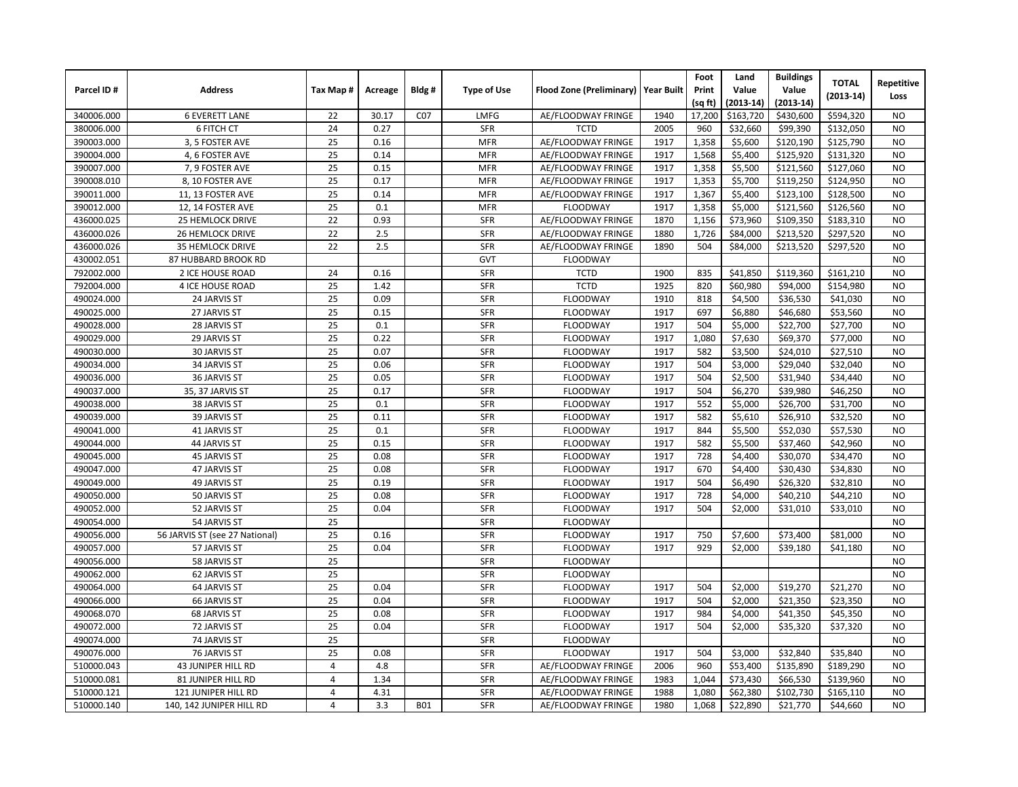|            |                                |                |         |                 |                    |                                       |      | Foot    | Land        | <b>Buildings</b> | <b>TOTAL</b> |                    |
|------------|--------------------------------|----------------|---------|-----------------|--------------------|---------------------------------------|------|---------|-------------|------------------|--------------|--------------------|
| Parcel ID# | <b>Address</b>                 | Tax Map#       | Acreage | Bldg#           | <b>Type of Use</b> | Flood Zone (Preliminary)   Year Built |      | Print   | Value       | Value            | $(2013-14)$  | Repetitive<br>Loss |
|            |                                |                |         |                 |                    |                                       |      | (sq ft) | $(2013-14)$ | $(2013-14)$      |              |                    |
| 340006.000 | <b>6 EVERETT LANE</b>          | 22             | 30.17   | C <sub>07</sub> | LMFG               | AE/FLOODWAY FRINGE                    | 1940 | 17,200  | \$163,720   | \$430,600        | \$594,320    | <b>NO</b>          |
| 380006.000 | 6 FITCH CT                     | 24             | 0.27    |                 | SFR                | <b>TCTD</b>                           | 2005 | 960     | \$32,660    | \$99,390         | \$132,050    | <b>NO</b>          |
| 390003.000 | 3, 5 FOSTER AVE                | 25             | 0.16    |                 | <b>MFR</b>         | AE/FLOODWAY FRINGE                    | 1917 | 1,358   | \$5,600     | \$120,190        | \$125,790    | <b>NO</b>          |
| 390004.000 | 4, 6 FOSTER AVE                | 25             | 0.14    |                 | <b>MFR</b>         | AE/FLOODWAY FRINGE                    | 1917 | 1,568   | \$5,400     | \$125,920        | \$131,320    | <b>NO</b>          |
| 390007.000 | 7, 9 FOSTER AVE                | 25             | 0.15    |                 | <b>MFR</b>         | AE/FLOODWAY FRINGE                    | 1917 | 1,358   | \$5,500     | \$121,560        | \$127,060    | <b>NO</b>          |
| 390008.010 | 8, 10 FOSTER AVE               | 25             | 0.17    |                 | <b>MFR</b>         | AE/FLOODWAY FRINGE                    | 1917 | 1,353   | \$5,700     | \$119,250        | \$124,950    | <b>NO</b>          |
| 390011.000 | 11, 13 FOSTER AVE              | 25             | 0.14    |                 | <b>MFR</b>         | AE/FLOODWAY FRINGE                    | 1917 | 1,367   | \$5,400     | \$123,100        | \$128,500    | <b>NO</b>          |
| 390012.000 | 12, 14 FOSTER AVE              | 25             | 0.1     |                 | <b>MFR</b>         | <b>FLOODWAY</b>                       | 1917 | 1,358   | \$5,000     | \$121,560        | \$126,560    | <b>NO</b>          |
| 436000.025 | 25 HEMLOCK DRIVE               | 22             | 0.93    |                 | SFR                | AE/FLOODWAY FRINGE                    | 1870 | 1,156   | \$73,960    | \$109,350        | \$183,310    | <b>NO</b>          |
| 436000.026 | <b>26 HEMLOCK DRIVE</b>        | 22             | 2.5     |                 | SFR                | AE/FLOODWAY FRINGE                    | 1880 | 1,726   | \$84,000    | \$213,520        | \$297,520    | <b>NO</b>          |
| 436000.026 | <b>35 HEMLOCK DRIVE</b>        | 22             | 2.5     |                 | <b>SFR</b>         | AE/FLOODWAY FRINGE                    | 1890 | 504     | \$84,000    | \$213,520        | \$297,520    | <b>NO</b>          |
| 430002.051 | 87 HUBBARD BROOK RD            |                |         |                 | GVT                | <b>FLOODWAY</b>                       |      |         |             |                  |              | <b>NO</b>          |
| 792002.000 | 2 ICE HOUSE ROAD               | 24             | 0.16    |                 | <b>SFR</b>         | <b>TCTD</b>                           | 1900 | 835     | \$41,850    | \$119,360        | \$161,210    | <b>NO</b>          |
| 792004.000 | 4 ICE HOUSE ROAD               | 25             | 1.42    |                 | <b>SFR</b>         | <b>TCTD</b>                           | 1925 | 820     | \$60,980    | \$94,000         | \$154,980    | <b>NO</b>          |
| 490024.000 | 24 JARVIS ST                   | 25             | 0.09    |                 | <b>SFR</b>         | <b>FLOODWAY</b>                       | 1910 | 818     | \$4,500     | \$36,530         | \$41,030     | <b>NO</b>          |
| 490025.000 | 27 JARVIS ST                   | 25             | 0.15    |                 | <b>SFR</b>         | <b>FLOODWAY</b>                       | 1917 | 697     | \$6,880     | \$46,680         | \$53,560     | <b>NO</b>          |
| 490028.000 | 28 JARVIS ST                   | 25             | 0.1     |                 | <b>SFR</b>         | <b>FLOODWAY</b>                       | 1917 | 504     | \$5,000     | \$22,700         | \$27,700     | <b>NO</b>          |
| 490029.000 | 29 JARVIS ST                   | 25             | 0.22    |                 | <b>SFR</b>         | <b>FLOODWAY</b>                       | 1917 | 1,080   | \$7,630     | \$69,370         | \$77,000     | <b>NO</b>          |
| 490030.000 | <b>30 JARVIS ST</b>            | 25             | 0.07    |                 | <b>SFR</b>         | <b>FLOODWAY</b>                       | 1917 | 582     | \$3,500     | \$24,010         | \$27,510     | <b>NO</b>          |
| 490034.000 | 34 JARVIS ST                   | 25             | 0.06    |                 | <b>SFR</b>         | <b>FLOODWAY</b>                       | 1917 | 504     | \$3,000     | \$29,040         | \$32,040     | <b>NO</b>          |
| 490036.000 | 36 JARVIS ST                   | 25             | 0.05    |                 | <b>SFR</b>         | <b>FLOODWAY</b>                       | 1917 | 504     | \$2,500     | \$31,940         | \$34,440     | <b>NO</b>          |
| 490037.000 | 35, 37 JARVIS ST               | 25             | 0.17    |                 | <b>SFR</b>         | <b>FLOODWAY</b>                       | 1917 | 504     | \$6,270     | \$39,980         | \$46,250     | N <sub>O</sub>     |
| 490038.000 | 38 JARVIS ST                   | 25             | 0.1     |                 | <b>SFR</b>         | <b>FLOODWAY</b>                       | 1917 | 552     | \$5,000     | \$26,700         | \$31,700     | <b>NO</b>          |
| 490039.000 | 39 JARVIS ST                   | 25             | 0.11    |                 | <b>SFR</b>         | <b>FLOODWAY</b>                       | 1917 | 582     | \$5,610     | \$26,910         | \$32,520     | <b>NO</b>          |
| 490041.000 | 41 JARVIS ST                   | 25             | 0.1     |                 | <b>SFR</b>         | <b>FLOODWAY</b>                       | 1917 | 844     | \$5,500     | \$52,030         | \$57,530     | <b>NO</b>          |
| 490044.000 | 44 JARVIS ST                   | 25             | 0.15    |                 | SFR                | <b>FLOODWAY</b>                       | 1917 | 582     | \$5,500     | \$37,460         | \$42,960     | <b>NO</b>          |
| 490045.000 | 45 JARVIS ST                   | 25             | 0.08    |                 | SFR                | <b>FLOODWAY</b>                       | 1917 | 728     | \$4,400     | \$30,070         | \$34,470     | <b>NO</b>          |
| 490047.000 | 47 JARVIS ST                   | 25             | 0.08    |                 | <b>SFR</b>         | <b>FLOODWAY</b>                       | 1917 | 670     | \$4,400     | \$30,430         | \$34,830     | <b>NO</b>          |
| 490049.000 | 49 JARVIS ST                   | 25             | 0.19    |                 | <b>SFR</b>         | <b>FLOODWAY</b>                       | 1917 | 504     | \$6,490     | \$26,320         | \$32,810     | <b>NO</b>          |
| 490050.000 | 50 JARVIS ST                   | 25             | 0.08    |                 | <b>SFR</b>         | <b>FLOODWAY</b>                       | 1917 | 728     | \$4,000     | \$40,210         | \$44,210     | <b>NO</b>          |
| 490052.000 | 52 JARVIS ST                   | 25             | 0.04    |                 | SFR                | <b>FLOODWAY</b>                       | 1917 | 504     | \$2,000     | \$31,010         | \$33,010     | <b>NO</b>          |
| 490054.000 | 54 JARVIS ST                   | 25             |         |                 | <b>SFR</b>         | <b>FLOODWAY</b>                       |      |         |             |                  |              | <b>NO</b>          |
| 490056.000 | 56 JARVIS ST (see 27 National) | 25             | 0.16    |                 | <b>SFR</b>         | <b>FLOODWAY</b>                       | 1917 | 750     | \$7,600     | \$73,400         | \$81,000     | <b>NO</b>          |
| 490057.000 | 57 JARVIS ST                   | 25             | 0.04    |                 | <b>SFR</b>         | <b>FLOODWAY</b>                       | 1917 | 929     | \$2,000     | \$39,180         | \$41,180     | <b>NO</b>          |
| 490056.000 | 58 JARVIS ST                   | 25             |         |                 | <b>SFR</b>         | <b>FLOODWAY</b>                       |      |         |             |                  |              | <b>NO</b>          |
| 490062.000 | 62 JARVIS ST                   | 25             |         |                 | <b>SFR</b>         | <b>FLOODWAY</b>                       |      |         |             |                  |              | <b>NO</b>          |
| 490064.000 | 64 JARVIS ST                   | 25             | 0.04    |                 | <b>SFR</b>         | <b>FLOODWAY</b>                       | 1917 | 504     | \$2,000     | \$19,270         | \$21,270     | <b>NO</b>          |
| 490066.000 | 66 JARVIS ST                   | 25             | 0.04    |                 | <b>SFR</b>         | FLOODWAY                              | 1917 | 504     | \$2,000     | \$21,350         | \$23,350     | <b>NO</b>          |
| 490068.070 | 68 JARVIS ST                   | 25             | 0.08    |                 | <b>SFR</b>         | <b>FLOODWAY</b>                       | 1917 | 984     | \$4,000     | \$41,350         | \$45,350     | <b>NO</b>          |
| 490072.000 | 72 JARVIS ST                   | 25             | 0.04    |                 | <b>SFR</b>         | <b>FLOODWAY</b>                       | 1917 | 504     | \$2,000     | \$35,320         | \$37,320     | <b>NO</b>          |
| 490074.000 | 74 JARVIS ST                   | 25             |         |                 | <b>SFR</b>         | <b>FLOODWAY</b>                       |      |         |             |                  |              | <b>NO</b>          |
| 490076.000 | 76 JARVIS ST                   | 25             | 0.08    |                 | <b>SFR</b>         | <b>FLOODWAY</b>                       | 1917 | 504     | \$3,000     | \$32,840         | \$35,840     | <b>NO</b>          |
| 510000.043 | <b>43 JUNIPER HILL RD</b>      | $\overline{4}$ | 4.8     |                 | <b>SFR</b>         | AE/FLOODWAY FRINGE                    | 2006 | 960     | \$53,400    | \$135,890        | \$189,290    | <b>NO</b>          |
| 510000.081 | 81 JUNIPER HILL RD             | 4              | 1.34    |                 | <b>SFR</b>         | AE/FLOODWAY FRINGE                    | 1983 | 1,044   | \$73,430    | \$66,530         | \$139,960    | <b>NO</b>          |
| 510000.121 | 121 JUNIPER HILL RD            | 4              | 4.31    |                 | <b>SFR</b>         | AE/FLOODWAY FRINGE                    | 1988 | 1,080   | \$62,380    | \$102,730        | \$165,110    | <b>NO</b>          |
| 510000.140 | 140, 142 JUNIPER HILL RD       | 4              | 3.3     | <b>B01</b>      | <b>SFR</b>         | AE/FLOODWAY FRINGE                    | 1980 | 1,068   | \$22,890    | \$21,770         | \$44,660     | <b>NO</b>          |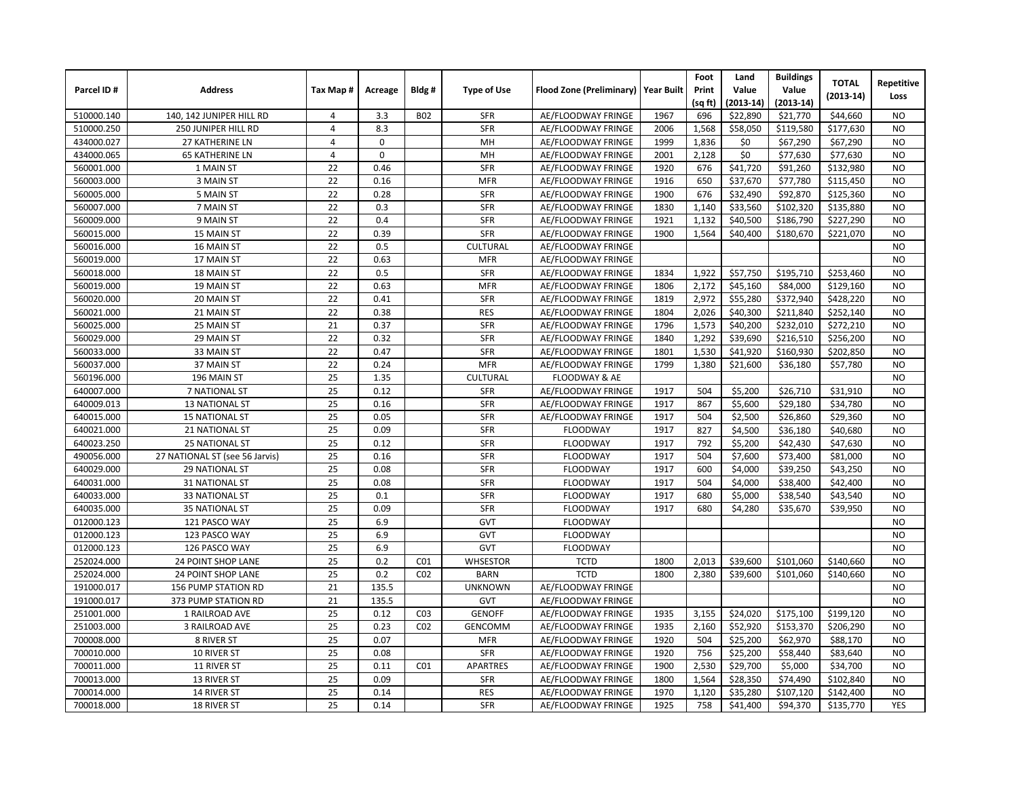|            |                                |                |              |                 |                    |                                       |      | Foot    | Land        | <b>Buildings</b> | <b>TOTAL</b> |                |
|------------|--------------------------------|----------------|--------------|-----------------|--------------------|---------------------------------------|------|---------|-------------|------------------|--------------|----------------|
| Parcel ID# | <b>Address</b>                 | Tax Map#       | Acreage      | Bldg#           | <b>Type of Use</b> | Flood Zone (Preliminary)   Year Built |      | Print   | Value       | Value            |              | Repetitive     |
|            |                                |                |              |                 |                    |                                       |      | (sq ft) | $(2013-14)$ | $(2013-14)$      | $(2013-14)$  | Loss           |
| 510000.140 | 140, 142 JUNIPER HILL RD       | 4              | 3.3          | <b>B02</b>      | <b>SFR</b>         | AE/FLOODWAY FRINGE                    | 1967 | 696     | \$22,890    | \$21,770         | \$44,660     | <b>NO</b>      |
| 510000.250 | 250 JUNIPER HILL RD            | $\overline{4}$ | 8.3          |                 | <b>SFR</b>         | AE/FLOODWAY FRINGE                    | 2006 | 1,568   | \$58,050    | \$119,580        | \$177,630    | <b>NO</b>      |
| 434000.027 | <b>27 KATHERINE LN</b>         | 4              | $\mathbf 0$  |                 | MH                 | AE/FLOODWAY FRINGE                    | 1999 | 1,836   | \$0         | \$67,290         | \$67,290     | <b>NO</b>      |
| 434000.065 | <b>65 KATHERINE LN</b>         | 4              | $\mathbf{0}$ |                 | MH                 | AE/FLOODWAY FRINGE                    | 2001 | 2,128   | \$0         | \$77,630         | \$77,630     | <b>NO</b>      |
| 560001.000 | 1 MAIN ST                      | 22             | 0.46         |                 | SFR                | AE/FLOODWAY FRINGE                    | 1920 | 676     | \$41,720    | \$91,260         | \$132,980    | <b>NO</b>      |
| 560003.000 | 3 MAIN ST                      | 22             | 0.16         |                 | <b>MFR</b>         | AE/FLOODWAY FRINGE                    | 1916 | 650     | \$37,670    | \$77,780         | \$115,450    | <b>NO</b>      |
| 560005.000 | 5 MAIN ST                      | 22             | 0.28         |                 | SFR                | AE/FLOODWAY FRINGE                    | 1900 | 676     | \$32,490    | \$92,870         | \$125,360    | <b>NO</b>      |
| 560007.000 | 7 MAIN ST                      | 22             | 0.3          |                 | SFR                | AE/FLOODWAY FRINGE                    | 1830 | 1,140   | \$33,560    | \$102,320        | \$135,880    | <b>NO</b>      |
| 560009.000 | 9 MAIN ST                      | 22             | 0.4          |                 | <b>SFR</b>         | AE/FLOODWAY FRINGE                    | 1921 | 1.132   | \$40,500    | \$186,790        | \$227,290    | <b>NO</b>      |
| 560015.000 | 15 MAIN ST                     | 22             | 0.39         |                 | <b>SFR</b>         | AE/FLOODWAY FRINGE                    | 1900 | 1,564   | \$40,400    | \$180,670        | \$221,070    | <b>NO</b>      |
| 560016.000 | 16 MAIN ST                     | 22             | 0.5          |                 | <b>CULTURAL</b>    | AE/FLOODWAY FRINGE                    |      |         |             |                  |              | <b>NO</b>      |
| 560019.000 | 17 MAIN ST                     | 22             | 0.63         |                 | <b>MFR</b>         | AE/FLOODWAY FRINGE                    |      |         |             |                  |              | <b>NO</b>      |
| 560018.000 | 18 MAIN ST                     | 22             | 0.5          |                 | <b>SFR</b>         | AE/FLOODWAY FRINGE                    | 1834 | 1,922   | \$57,750    | \$195,710        | \$253,460    | <b>NO</b>      |
| 560019.000 | 19 MAIN ST                     | 22             | 0.63         |                 | <b>MFR</b>         | AE/FLOODWAY FRINGE                    | 1806 | 2,172   | \$45,160    | \$84,000         | \$129,160    | <b>NO</b>      |
| 560020.000 | 20 MAIN ST                     | 22             | 0.41         |                 | SFR                | AE/FLOODWAY FRINGE                    | 1819 | 2,972   | \$55,280    | \$372,940        | \$428,220    | N <sub>O</sub> |
| 560021.000 | 21 MAIN ST                     | 22             | 0.38         |                 | <b>RES</b>         | AE/FLOODWAY FRINGE                    | 1804 | 2,026   | \$40,300    | \$211,840        | \$252,140    | N <sub>O</sub> |
| 560025.000 | 25 MAIN ST                     | 21             | 0.37         |                 | <b>SFR</b>         | AE/FLOODWAY FRINGE                    | 1796 | 1,573   | \$40,200    | \$232,010        | \$272,210    | <b>NO</b>      |
| 560029.000 | 29 MAIN ST                     | 22             | 0.32         |                 | <b>SFR</b>         | AE/FLOODWAY FRINGE                    | 1840 | 1,292   | \$39,690    | \$216,510        | \$256,200    | <b>NO</b>      |
| 560033.000 | 33 MAIN ST                     | 22             | 0.47         |                 | <b>SFR</b>         | AE/FLOODWAY FRINGE                    | 1801 | 1,530   | \$41,920    | \$160,930        | \$202,850    | <b>NO</b>      |
| 560037.000 | 37 MAIN ST                     | 22             | 0.24         |                 | <b>MFR</b>         | AE/FLOODWAY FRINGE                    | 1799 | 1,380   | \$21,600    | \$36,180         | \$57,780     | <b>NO</b>      |
| 560196.000 | 196 MAIN ST                    | 25             | 1.35         |                 | <b>CULTURAL</b>    | FLOODWAY & AE                         |      |         |             |                  |              | N <sub>O</sub> |
| 640007.000 | 7 NATIONAL ST                  | 25             | 0.12         |                 | <b>SFR</b>         | AE/FLOODWAY FRINGE                    | 1917 | 504     | \$5,200     | \$26,710         | \$31,910     | N <sub>O</sub> |
| 640009.013 | <b>13 NATIONAL ST</b>          | 25             | 0.16         |                 | <b>SFR</b>         | AE/FLOODWAY FRINGE                    | 1917 | 867     | \$5,600     | \$29,180         | \$34,780     | N <sub>O</sub> |
| 640015.000 | <b>15 NATIONAL ST</b>          | 25             | 0.05         |                 | <b>SFR</b>         | AE/FLOODWAY FRINGE                    | 1917 | 504     | \$2,500     | \$26,860         | \$29,360     | <b>NO</b>      |
| 640021.000 | 21 NATIONAL ST                 | 25             | 0.09         |                 | <b>SFR</b>         | <b>FLOODWAY</b>                       | 1917 | 827     | \$4,500     | \$36,180         | \$40,680     | <b>NO</b>      |
| 640023.250 | <b>25 NATIONAL ST</b>          | 25             | 0.12         |                 | <b>SFR</b>         | <b>FLOODWAY</b>                       | 1917 | 792     | \$5,200     | \$42,430         | \$47,630     | <b>NO</b>      |
| 490056.000 | 27 NATIONAL ST (see 56 Jarvis) | 25             | 0.16         |                 | <b>SFR</b>         | <b>FLOODWAY</b>                       | 1917 | 504     | \$7,600     | \$73,400         | \$81,000     | <b>NO</b>      |
| 640029.000 | 29 NATIONAL ST                 | 25             | 0.08         |                 | <b>SFR</b>         | <b>FLOODWAY</b>                       | 1917 | 600     | \$4,000     | \$39,250         | \$43,250     | <b>NO</b>      |
| 640031.000 | <b>31 NATIONAL ST</b>          | 25             | 0.08         |                 | <b>SFR</b>         | <b>FLOODWAY</b>                       | 1917 | 504     | \$4,000     | \$38,400         | \$42,400     | <b>NO</b>      |
| 640033.000 | 33 NATIONAL ST                 | 25             | 0.1          |                 | <b>SFR</b>         | <b>FLOODWAY</b>                       | 1917 | 680     | \$5,000     | \$38,540         | \$43,540     | <b>NO</b>      |
| 640035.000 | <b>35 NATIONAL ST</b>          | 25             | 0.09         |                 | <b>SFR</b>         | <b>FLOODWAY</b>                       | 1917 | 680     | \$4,280     | \$35,670         | \$39,950     | <b>NO</b>      |
| 012000.123 | 121 PASCO WAY                  | 25             | 6.9          |                 | GVT                | <b>FLOODWAY</b>                       |      |         |             |                  |              | <b>NO</b>      |
| 012000.123 | 123 PASCO WAY                  | 25             | 6.9          |                 | GVT                | <b>FLOODWAY</b>                       |      |         |             |                  |              | <b>NO</b>      |
| 012000.123 | 126 PASCO WAY                  | 25             | 6.9          |                 | GVT                | <b>FLOODWAY</b>                       |      |         |             |                  |              | <b>NO</b>      |
| 252024.000 | <b>24 POINT SHOP LANE</b>      | 25             | 0.2          | CO <sub>1</sub> | <b>WHSESTOR</b>    | <b>TCTD</b>                           | 1800 | 2,013   | \$39,600    | \$101,060        | \$140,660    | <b>NO</b>      |
| 252024.000 | <b>24 POINT SHOP LANE</b>      | 25             | 0.2          | CO <sub>2</sub> | <b>BARN</b>        | <b>TCTD</b>                           | 1800 | 2,380   | \$39,600    | \$101,060        | \$140,660    | <b>NO</b>      |
| 191000.017 | 156 PUMP STATION RD            | 21             | 135.5        |                 | <b>UNKNOWN</b>     | AE/FLOODWAY FRINGE                    |      |         |             |                  |              | <b>NO</b>      |
| 191000.017 | 373 PUMP STATION RD            | 21             | 135.5        |                 | GVT                | AE/FLOODWAY FRINGE                    |      |         |             |                  |              | <b>NO</b>      |
| 251001.000 | 1 RAILROAD AVE                 | 25             | 0.12         | CO <sub>3</sub> | <b>GENOFF</b>      | AE/FLOODWAY FRINGE                    | 1935 | 3,155   | \$24,020    | \$175,100        | \$199,120    | <b>NO</b>      |
| 251003.000 | 3 RAILROAD AVE                 | 25             | 0.23         | CO <sub>2</sub> | <b>GENCOMM</b>     | AE/FLOODWAY FRINGE                    | 1935 | 2,160   | \$52,920    | \$153,370        | \$206,290    | <b>NO</b>      |
| 700008.000 | 8 RIVER ST                     | 25             | 0.07         |                 | <b>MFR</b>         | AE/FLOODWAY FRINGE                    | 1920 | 504     | \$25,200    | \$62,970         | \$88,170     | <b>NO</b>      |
| 700010.000 | 10 RIVER ST                    | 25             | 0.08         |                 | <b>SFR</b>         | AE/FLOODWAY FRINGE                    | 1920 | 756     | \$25,200    | \$58,440         | \$83,640     | <b>NO</b>      |
| 700011.000 | 11 RIVER ST                    | 25             | 0.11         | CO <sub>1</sub> | <b>APARTRES</b>    | AE/FLOODWAY FRINGE                    | 1900 | 2,530   | \$29,700    | \$5,000          | \$34,700     | N <sub>O</sub> |
| 700013.000 | 13 RIVER ST                    | 25             | 0.09         |                 | <b>SFR</b>         | AE/FLOODWAY FRINGE                    | 1800 | 1,564   | \$28,350    | \$74,490         | \$102,840    | <b>NO</b>      |
| 700014.000 | 14 RIVER ST                    | 25             | 0.14         |                 | <b>RES</b>         | AE/FLOODWAY FRINGE                    | 1970 | 1,120   | \$35,280    | \$107,120        | \$142,400    | <b>NO</b>      |
| 700018.000 | 18 RIVER ST                    | 25             | 0.14         |                 | <b>SFR</b>         | AE/FLOODWAY FRINGE                    | 1925 | 758     | \$41,400    | \$94,370         | \$135,770    | <b>YES</b>     |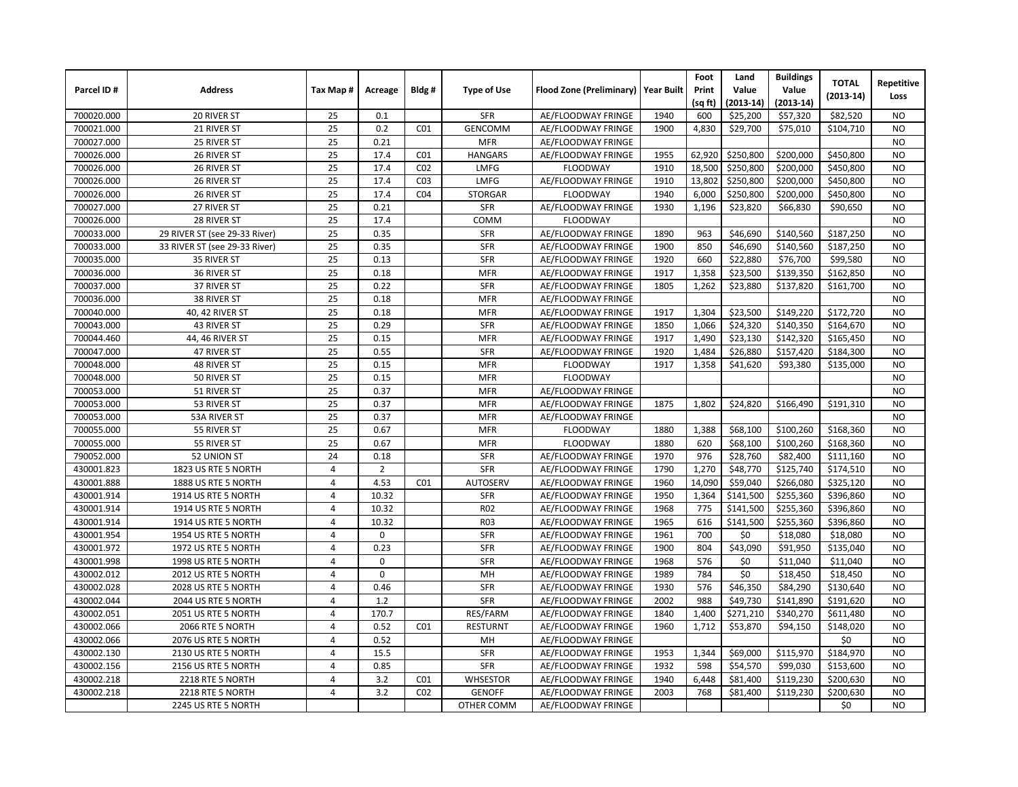|            |                               |                |                |                 |                    |                                       |      | Foot    | Land        | <b>Buildings</b> | <b>TOTAL</b> | Repetitive     |
|------------|-------------------------------|----------------|----------------|-----------------|--------------------|---------------------------------------|------|---------|-------------|------------------|--------------|----------------|
| Parcel ID# | <b>Address</b>                | Tax Map#       | Acreage        | Bldg#           | <b>Type of Use</b> | Flood Zone (Preliminary)   Year Built |      | Print   | Value       | Value            | $(2013-14)$  | Loss           |
|            |                               |                |                |                 |                    |                                       |      | (sq ft) | $(2013-14)$ | $(2013-14)$      |              |                |
| 700020.000 | 20 RIVER ST                   | 25             | 0.1            |                 | <b>SFR</b>         | AE/FLOODWAY FRINGE                    | 1940 | 600     | \$25,200    | \$57,320         | \$82,520     | NO.            |
| 700021.000 | 21 RIVER ST                   | 25             | 0.2            | CO <sub>1</sub> | <b>GENCOMM</b>     | AE/FLOODWAY FRINGE                    | 1900 | 4,830   | \$29,700    | \$75,010         | \$104,710    | N <sub>O</sub> |
| 700027.000 | 25 RIVER ST                   | 25             | 0.21           |                 | <b>MFR</b>         | AE/FLOODWAY FRINGE                    |      |         |             |                  |              | NO.            |
| 700026.000 | 26 RIVER ST                   | 25             | 17.4           | CO <sub>1</sub> | <b>HANGARS</b>     | AE/FLOODWAY FRINGE                    | 1955 | 62,920  | \$250,800   | \$200,000        | \$450,800    | <b>NO</b>      |
| 700026.000 | 26 RIVER ST                   | 25             | 17.4           | CO <sub>2</sub> | <b>LMFG</b>        | <b>FLOODWAY</b>                       | 1910 | 18,500  | \$250,800   | \$200,000        | \$450,800    | <b>NO</b>      |
| 700026.000 | 26 RIVER ST                   | 25             | 17.4           | CO <sub>3</sub> | LMFG               | AE/FLOODWAY FRINGE                    | 1910 | 13,802  | \$250,800   | \$200,000        | \$450,800    | <b>NO</b>      |
| 700026.000 | 26 RIVER ST                   | 25             | 17.4           | CO <sub>4</sub> | <b>STORGAR</b>     | <b>FLOODWAY</b>                       | 1940 | 6,000   | \$250,800   | \$200,000        | \$450,800    | <b>NO</b>      |
| 700027.000 | 27 RIVER ST                   | 25             | 0.21           |                 | <b>SFR</b>         | AE/FLOODWAY FRINGE                    | 1930 | 1,196   | \$23,820    | \$66,830         | \$90,650     | <b>NO</b>      |
| 700026.000 | 28 RIVER ST                   | 25             | 17.4           |                 | COMM               | <b>FLOODWAY</b>                       |      |         |             |                  |              | <b>NO</b>      |
| 700033.000 | 29 RIVER ST (see 29-33 River) | 25             | 0.35           |                 | SFR                | AE/FLOODWAY FRINGE                    | 1890 | 963     | \$46,690    | \$140,560        | \$187,250    | <b>NO</b>      |
| 700033.000 | 33 RIVER ST (see 29-33 River) | 25             | 0.35           |                 | <b>SFR</b>         | AE/FLOODWAY FRINGE                    | 1900 | 850     | \$46,690    | \$140,560        | \$187,250    | <b>NO</b>      |
| 700035.000 | 35 RIVER ST                   | 25             | 0.13           |                 | <b>SFR</b>         | AE/FLOODWAY FRINGE                    | 1920 | 660     | \$22,880    | \$76,700         | \$99,580     | <b>NO</b>      |
| 700036.000 | 36 RIVER ST                   | 25             | 0.18           |                 | <b>MFR</b>         | AE/FLOODWAY FRINGE                    | 1917 | 1,358   | \$23,500    | \$139,350        | \$162,850    | <b>NO</b>      |
| 700037.000 | 37 RIVER ST                   | 25             | 0.22           |                 | SFR                | AE/FLOODWAY FRINGE                    | 1805 | 1,262   | \$23,880    | \$137,820        | \$161,700    | <b>NO</b>      |
| 700036.000 | 38 RIVER ST                   | 25             | 0.18           |                 | <b>MFR</b>         | AE/FLOODWAY FRINGE                    |      |         |             |                  |              | <b>NO</b>      |
| 700040.000 | 40, 42 RIVER ST               | 25             | 0.18           |                 | <b>MFR</b>         | AE/FLOODWAY FRINGE                    | 1917 | 1,304   | \$23,500    | \$149,220        | \$172,720    | <b>NO</b>      |
| 700043.000 | 43 RIVER ST                   | 25             | 0.29           |                 | <b>SFR</b>         | AE/FLOODWAY FRINGE                    | 1850 | 1,066   | \$24,320    | \$140,350        | \$164,670    | <b>NO</b>      |
| 700044.460 | 44, 46 RIVER ST               | 25             | 0.15           |                 | <b>MFR</b>         | AE/FLOODWAY FRINGE                    | 1917 | 1,490   | \$23,130    | \$142,320        | \$165,450    | <b>NO</b>      |
| 700047.000 | 47 RIVER ST                   | 25             | 0.55           |                 | <b>SFR</b>         | AE/FLOODWAY FRINGE                    | 1920 | 1,484   | \$26,880    | \$157,420        | \$184,300    | <b>NO</b>      |
| 700048.000 | 48 RIVER ST                   | 25             | 0.15           |                 | <b>MFR</b>         | <b>FLOODWAY</b>                       | 1917 | 1,358   | \$41,620    | \$93,380         | \$135,000    | <b>NO</b>      |
| 700048.000 | 50 RIVER ST                   | 25             | 0.15           |                 | <b>MFR</b>         | <b>FLOODWAY</b>                       |      |         |             |                  |              | <b>NO</b>      |
| 700053.000 | 51 RIVER ST                   | 25             | 0.37           |                 | <b>MFR</b>         | AE/FLOODWAY FRINGE                    |      |         |             |                  |              | <b>NO</b>      |
| 700053.000 | 53 RIVER ST                   | 25             | 0.37           |                 | <b>MFR</b>         | AE/FLOODWAY FRINGE                    | 1875 | 1,802   | \$24,820    | \$166,490        | \$191,310    | N <sub>O</sub> |
| 700053.000 | 53A RIVER ST                  | 25             | 0.37           |                 | <b>MFR</b>         | AE/FLOODWAY FRINGE                    |      |         |             |                  |              | N <sub>O</sub> |
| 700055.000 | 55 RIVER ST                   | 25             | 0.67           |                 | <b>MFR</b>         | <b>FLOODWAY</b>                       | 1880 | 1,388   | \$68,100    | \$100,260        | \$168,360    | <b>NO</b>      |
| 700055.000 | 55 RIVER ST                   | 25             | 0.67           |                 | <b>MFR</b>         | <b>FLOODWAY</b>                       | 1880 | 620     | \$68,100    | \$100,260        | \$168,360    | <b>NO</b>      |
| 790052.000 | 52 UNION ST                   | 24             | 0.18           |                 | <b>SFR</b>         | AE/FLOODWAY FRINGE                    | 1970 | 976     | \$28,760    | \$82,400         | \$111,160    | <b>NO</b>      |
| 430001.823 | 1823 US RTE 5 NORTH           | 4              | $\overline{2}$ |                 | SFR                | AE/FLOODWAY FRINGE                    | 1790 | 1,270   | \$48,770    | \$125,740        | \$174,510    | <b>NO</b>      |
| 430001.888 | 1888 US RTE 5 NORTH           | 4              | 4.53           | CO <sub>1</sub> | <b>AUTOSERV</b>    | AE/FLOODWAY FRINGE                    | 1960 | 14,090  | \$59,040    | \$266,080        | \$325,120    | <b>NO</b>      |
| 430001.914 | 1914 US RTE 5 NORTH           | $\overline{4}$ | 10.32          |                 | <b>SFR</b>         | AE/FLOODWAY FRINGE                    | 1950 | 1,364   | \$141,500   | \$255,360        | \$396,860    | <b>NO</b>      |
| 430001.914 | 1914 US RTE 5 NORTH           | 4              | 10.32          |                 | R <sub>02</sub>    | AE/FLOODWAY FRINGE                    | 1968 | 775     | \$141,500   | \$255,360        | \$396,860    | <b>NO</b>      |
| 430001.914 | 1914 US RTE 5 NORTH           | $\overline{4}$ | 10.32          |                 | <b>R03</b>         | AE/FLOODWAY FRINGE                    | 1965 | 616     | \$141,500   | \$255,360        | \$396,860    | <b>NO</b>      |
| 430001.954 | 1954 US RTE 5 NORTH           | 4              | $\Omega$       |                 | <b>SFR</b>         | AE/FLOODWAY FRINGE                    | 1961 | 700     | \$0         | \$18,080         | \$18,080     | <b>NO</b>      |
| 430001.972 | 1972 US RTE 5 NORTH           | $\overline{4}$ | 0.23           |                 | <b>SFR</b>         | AE/FLOODWAY FRINGE                    | 1900 | 804     | \$43,090    | \$91.950         | \$135,040    | N <sub>O</sub> |
| 430001.998 | 1998 US RTE 5 NORTH           | 4              | $\Omega$       |                 | <b>SFR</b>         | AE/FLOODWAY FRINGE                    | 1968 | 576     | \$0         | \$11,040         | \$11,040     | <b>NO</b>      |
| 430002.012 | 2012 US RTE 5 NORTH           | $\overline{4}$ | $\Omega$       |                 | MH                 | AE/FLOODWAY FRINGE                    | 1989 | 784     | \$0         | \$18,450         | \$18,450     | N <sub>O</sub> |
| 430002.028 | 2028 US RTE 5 NORTH           | 4              | 0.46           |                 | <b>SFR</b>         | AE/FLOODWAY FRINGE                    | 1930 | 576     | \$46,350    | \$84,290         | \$130,640    | N <sub>O</sub> |
| 430002.044 | 2044 US RTE 5 NORTH           | $\overline{4}$ | 1.2            |                 | <b>SFR</b>         | AE/FLOODWAY FRINGE                    | 2002 | 988     | \$49,730    | \$141,890        | \$191,620    | <b>NO</b>      |
| 430002.051 | 2051 US RTE 5 NORTH           | 4              | 170.7          |                 | RES/FARM           | AE/FLOODWAY FRINGE                    | 1840 | 1,400   | \$271,210   | \$340,270        | \$611,480    | <b>NO</b>      |
| 430002.066 | 2066 RTE 5 NORTH              | 4              | 0.52           | CO <sub>1</sub> | <b>RESTURNT</b>    | AE/FLOODWAY FRINGE                    | 1960 | 1,712   | \$53,870    | \$94,150         | \$148,020    | <b>NO</b>      |
| 430002.066 | 2076 US RTE 5 NORTH           | $\overline{4}$ | 0.52           |                 | MH                 | AE/FLOODWAY FRINGE                    |      |         |             |                  | \$0          | <b>NO</b>      |
| 430002.130 | 2130 US RTE 5 NORTH           | $\overline{4}$ | 15.5           |                 | <b>SFR</b>         | AE/FLOODWAY FRINGE                    | 1953 | 1,344   | \$69,000    | \$115,970        | \$184,970    | N <sub>O</sub> |
| 430002.156 | 2156 US RTE 5 NORTH           | $\overline{4}$ | 0.85           |                 | SFR                | AE/FLOODWAY FRINGE                    | 1932 | 598     | \$54,570    | \$99,030         | \$153,600    | <b>NO</b>      |
| 430002.218 | 2218 RTE 5 NORTH              | $\overline{4}$ | 3.2            | CO <sub>1</sub> | <b>WHSESTOR</b>    | AE/FLOODWAY FRINGE                    | 1940 | 6,448   | \$81,400    | \$119,230        | \$200,630    | NO             |
| 430002.218 | 2218 RTE 5 NORTH              | $\overline{4}$ | 3.2            | CO <sub>2</sub> | <b>GENOFF</b>      | AE/FLOODWAY FRINGE                    | 2003 | 768     | \$81,400    | \$119,230        | \$200,630    | NO             |
|            | 2245 US RTE 5 NORTH           |                |                |                 | OTHER COMM         | AE/FLOODWAY FRINGE                    |      |         |             |                  | \$0          | NO.            |